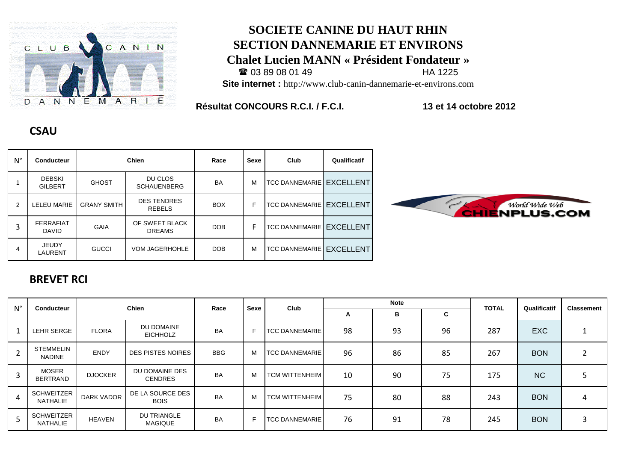

#### **SOCIETE CANINE DU HAUT RHIN SECTION DANNEMARIE ET ENVIRONS Chalet Lucien MANN « Président Fondateur »**  $\textbf{2}$  03 89 08 01 49 **Site internet :** http://www.club-canin-dannemarie-et-environs.com

**Résultat CONCOURS R.C.I. / F.C.I. 13 et 14 octobre 2012**

| $N^{\circ}$ | <b>Conducteur</b>                | <b>Chien</b>       |                                     | Race       | <b>Sexe</b> | Club                  | Qualificatif     |
|-------------|----------------------------------|--------------------|-------------------------------------|------------|-------------|-----------------------|------------------|
|             | <b>DEBSKI</b><br><b>GILBERT</b>  | <b>GHOST</b>       | DU CLOS<br><b>SCHAUENBERG</b>       | BA         | M           | <b>TCC DANNEMARIE</b> | <b>EXCELLENT</b> |
| 2           | <b>ELEU MARIE</b>                | <b>GRANY SMITH</b> | <b>DES TENDRES</b><br><b>REBELS</b> | <b>BOX</b> | F           | <b>TCC DANNEMARIE</b> | <b>EXCELLENT</b> |
| 3           | <b>FERRAFIAT</b><br><b>DAVID</b> | GAIA               | OF SWEET BLACK<br><b>DREAMS</b>     | <b>DOB</b> | F           | <b>TCC DANNEMARIE</b> | <b>EXCELLENT</b> |
| 4           | <b>JEUDY</b><br>LAURENT          | <b>GUCCI</b>       | <b>VOM JAGERHOHLE</b>               | <b>DOB</b> | M           | <b>TCC DANNEMARIE</b> | <b>EXCELLENT</b> |

# World Wide Web<br>ENPLUS.COM

#### **BREVET RCI**

**CSAU**

| $N^{\circ}$    | <b>Conducteur</b>             | Chien             |                                      | Race       | <b>Sexe</b> | Club                  |    | <b>Note</b> |    | <b>TOTAL</b> | Qualificatif | <b>Classement</b> |
|----------------|-------------------------------|-------------------|--------------------------------------|------------|-------------|-----------------------|----|-------------|----|--------------|--------------|-------------------|
|                |                               |                   |                                      |            |             |                       | A  | в           | C  |              |              |                   |
|                | LEHR SERGE                    | <b>FLORA</b>      | DU DOMAINE<br><b>EICHHOLZ</b>        | <b>BA</b>  | F           | <b>TCC DANNEMARIE</b> | 98 | 93          | 96 | 287          | <b>EXC</b>   |                   |
| $\overline{2}$ | STEMMELIN<br><b>NADINE</b>    | <b>ENDY</b>       | <b>DES PISTES NOIRES</b>             | <b>BBG</b> | M           | <b>TCC DANNEMARIE</b> | 96 | 86          | 85 | 267          | <b>BON</b>   | $\overline{2}$    |
| $\overline{3}$ | <b>MOSER</b><br>BERTRAND      | <b>DJOCKER</b>    | DU DOMAINE DES<br><b>CENDRES</b>     | <b>BA</b>  | M           | TCM WITTENHEIM        | 10 | 90          | 75 | 175          | <b>NC</b>    |                   |
| $\overline{4}$ | <b>SCHWEITZER</b><br>NATHALIE | <b>DARK VADOR</b> | DE LA SOURCE DES<br><b>BOIS</b>      | <b>BA</b>  | M           | TCM WITTENHEIM        | 75 | 80          | 88 | 243          | <b>BON</b>   | 4                 |
| 5              | <b>SCHWEITZER</b><br>NATHALIE | <b>HEAVEN</b>     | <b>DU TRIANGLE</b><br><b>MAGIQUE</b> | <b>BA</b>  | F           | <b>TCC DANNEMARIE</b> | 76 | 91          | 78 | 245          | <b>BON</b>   | 3                 |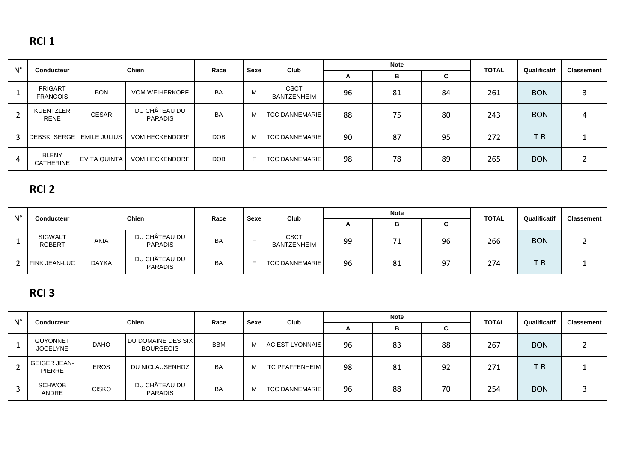## **RCI 1**

| $N^{\circ}$ | <b>Conducteur</b>                 |                     | <b>Chien</b>                    | Race       | Sexe | Club                              | <b>Note</b> |    |    | <b>TOTAL</b> | Qualificatif | <b>Classement</b> |
|-------------|-----------------------------------|---------------------|---------------------------------|------------|------|-----------------------------------|-------------|----|----|--------------|--------------|-------------------|
|             |                                   |                     |                                 |            |      |                                   | A           | В  | C  |              |              |                   |
|             | <b>FRIGART</b><br><b>FRANCOIS</b> | <b>BON</b>          | <b>VOM WEIHERKOPF</b>           | <b>BA</b>  | M    | <b>CSCT</b><br><b>BANTZENHEIM</b> | 96          | 81 | 84 | 261          | <b>BON</b>   |                   |
|             | <b>KUENTZLER</b><br><b>RENE</b>   | <b>CESAR</b>        | DU CHÂTEAU DU<br><b>PARADIS</b> | <b>BA</b>  | M    | <b>TCC DANNEMARIE</b>             | 88          | 75 | 80 | 243          | <b>BON</b>   | 4                 |
| 3           | <b>DEBSKI SERGE</b>               | <b>EMILE JULIUS</b> | <b>VOM HECKENDORF</b>           | <b>DOB</b> | M    | <b>TCC DANNEMARIE</b>             | 90          | 87 | 95 | 272          | T.B          |                   |
|             | <b>BLENY</b><br><b>CATHERINE</b>  | EVITA QUINTA        | <b>VOM HECKENDORF</b>           | DOB        |      | <b>TCC DANNEMARIE</b>             | 98          | 78 | 89 | 265          | <b>BON</b>   |                   |

# **RCI 2**

| $N^{\circ}$ | <b>Conducteur</b>               |              | <b>Chien</b>                    | Race      | Sexe | <b>Club</b>                       |              | <b>Note</b> |    | <b>TOTAL</b> | Qualificatif | <b>Classement</b> |
|-------------|---------------------------------|--------------|---------------------------------|-----------|------|-----------------------------------|--------------|-------------|----|--------------|--------------|-------------------|
|             |                                 |              |                                 |           |      |                                   | $\mathbf{r}$ | Ð           | C  |              |              |                   |
|             | <b>SIGWALT</b><br><b>ROBERT</b> | <b>AKIA</b>  | DU CHÂTEAU DU<br><b>PARADIS</b> | <b>BA</b> |      | <b>CSCT</b><br><b>BANTZENHEIM</b> | 99           | 71          | 96 | 266          | <b>BON</b>   |                   |
|             | <b>FINK JEAN-LUC</b>            | <b>DAYKA</b> | DU CHÂTEAU DU<br><b>PARADIS</b> | <b>BA</b> |      | <b>TCC DANNEMARIE</b>             | 96           | 81          | 97 | 274          | T.B          |                   |

## **RCI 3**

| $N^{\circ}$ | <b>Conducteur</b>                     | <b>Note</b><br>Chien<br>Sexe<br>Club<br>Race |                                                 |            |   | Qualificatif           | <b>Classement</b> |    |    |              |            |  |
|-------------|---------------------------------------|----------------------------------------------|-------------------------------------------------|------------|---|------------------------|-------------------|----|----|--------------|------------|--|
|             |                                       |                                              |                                                 |            |   |                        | $\mathbf{A}$      | в  | C  | <b>TOTAL</b> |            |  |
|             | <b>GUYONNET</b><br><b>JOCELYNE</b>    | <b>DAHO</b>                                  | <b>JDU DOMAINE DES SIX.</b><br><b>BOURGEOIS</b> | <b>BBM</b> | M | <b>AC EST LYONNAIS</b> | 96                | 83 | 88 | 267          | <b>BON</b> |  |
|             | <b>GEIGER JEAN-I</b><br><b>PIERRE</b> | <b>EROS</b>                                  | DU NICLAUSENHOZ                                 | <b>BA</b>  | M | <b>TC PFAFFENHEIM</b>  | 98                | 81 | 92 | 271          | T.B        |  |
|             | <b>SCHWOB</b><br>ANDRE                | <b>CISKO</b>                                 | DU CHÂTEAU DU<br><b>PARADIS</b>                 | <b>BA</b>  | M | <b>TCC DANNEMARIE</b>  | 96                | 88 | 70 | 254          | <b>BON</b> |  |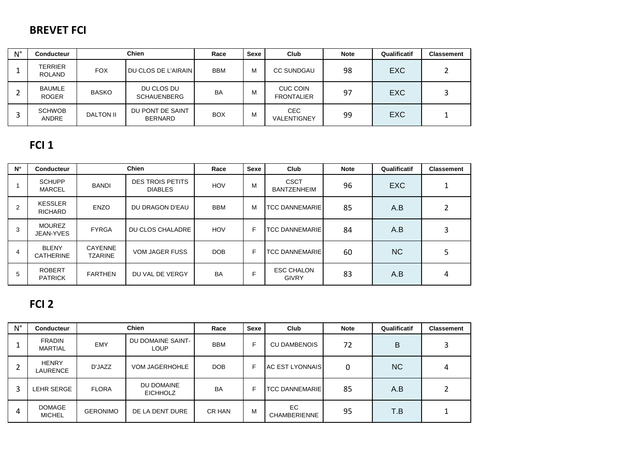#### **BREVET FCI**

| $N^{\circ}$ | <b>Conducteur</b>               | <b>Chien</b>     |                                    | Race       | Sexe | Club                                 | <b>Note</b> | Qualificatif | <b>Classement</b> |
|-------------|---------------------------------|------------------|------------------------------------|------------|------|--------------------------------------|-------------|--------------|-------------------|
|             | <b>TERRIER</b><br><b>ROLAND</b> | <b>FOX</b>       | DU CLOS DE L'AIRAIN                | <b>BBM</b> | м    | <b>CC SUNDGAU</b>                    | 98          | <b>EXC</b>   |                   |
|             | <b>BAUMLE</b><br><b>ROGER</b>   | <b>BASKO</b>     | DU CLOS DU<br><b>SCHAUENBERG</b>   | <b>BA</b>  | м    | <b>CUC COIN</b><br><b>FRONTALIER</b> | 97          | <b>EXC</b>   |                   |
| ◠<br>∍      | <b>SCHWOB</b><br><b>ANDRE</b>   | <b>DALTON II</b> | DU PONT DE SAINT<br><b>BERNARD</b> | <b>BOX</b> | м    | CEC.<br>VALENTIGNEY                  | 99          | <b>EXC</b>   |                   |

### **FCI 1**

| $N^{\circ}$ | <b>Conducteur</b>                |                                  | <b>Chien</b>                              | Race       | <b>Sexe</b> | Club                              | <b>Note</b> | Qualificatif | <b>Classement</b> |
|-------------|----------------------------------|----------------------------------|-------------------------------------------|------------|-------------|-----------------------------------|-------------|--------------|-------------------|
|             | <b>SCHUPP</b><br><b>MARCEL</b>   | <b>BANDI</b>                     | <b>DES TROIS PETITS</b><br><b>DIABLES</b> | <b>HOV</b> | М           | <b>CSCT</b><br><b>BANTZENHEIM</b> | 96          | <b>EXC</b>   |                   |
| 2           | <b>KESSLER</b><br><b>RICHARD</b> | <b>ENZO</b>                      | DU DRAGON D'EAU                           | <b>BBM</b> | М           | <b>TCC DANNEMARIE</b>             | 85          | A.B          |                   |
| 3           | <b>MOUREZ</b><br>JEAN-YVES       | <b>FYRGA</b>                     | DU CLOS CHALADRE                          | <b>HOV</b> | F           | <b>TCC DANNEMARIE</b>             | 84          | A.B          |                   |
| 4           | <b>BLENY</b><br><b>CATHERINE</b> | <b>CAYENNE</b><br><b>TZARINE</b> | <b>VOM JAGER FUSS</b>                     | DOB        | F           | <b>TCC DANNEMARIE</b>             | 60          | <b>NC</b>    |                   |
| 5           | <b>ROBERT</b><br><b>PATRICK</b>  | <b>FARTHEN</b>                   | DU VAL DE VERGY                           | <b>BA</b>  |             | <b>ESC CHALON</b><br><b>GIVRY</b> | 83          | A.B          | 4                 |

### **FCI 2**

| $N^{\circ}$ | <b>Conducteur</b>               | <b>Chien</b>    |                               | Race       | <b>Sexe</b> | Club                       | <b>Note</b> | Qualificatif | <b>Classement</b> |
|-------------|---------------------------------|-----------------|-------------------------------|------------|-------------|----------------------------|-------------|--------------|-------------------|
|             | <b>FRADIN</b><br><b>MARTIAL</b> | <b>EMY</b>      | DU DOMAINE SAINT-<br>LOUP     | <b>BBM</b> | F.          | <b>CU DAMBENOIS</b>        | 72          | B            |                   |
|             | <b>HENRY</b><br>LAURENCE        | D'JAZZ          | <b>VOM JAGERHOHLE</b>         | <b>DOB</b> | F.          | <b>AC EST LYONNAIS</b>     | 0           | <b>NC</b>    |                   |
| 3           | LEHR SERGE                      | <b>FLORA</b>    | DU DOMAINE<br><b>EICHHOLZ</b> | BA         | ⊏           | <b>TCC DANNEMARIE</b>      | 85          | A.B          |                   |
| 4           | <b>DOMAGE</b><br><b>MICHEL</b>  | <b>GERONIMO</b> | DE LA DENT DURE               | CR HAN     | М           | EC.<br><b>CHAMBERIENNE</b> | 95          | T.B          |                   |